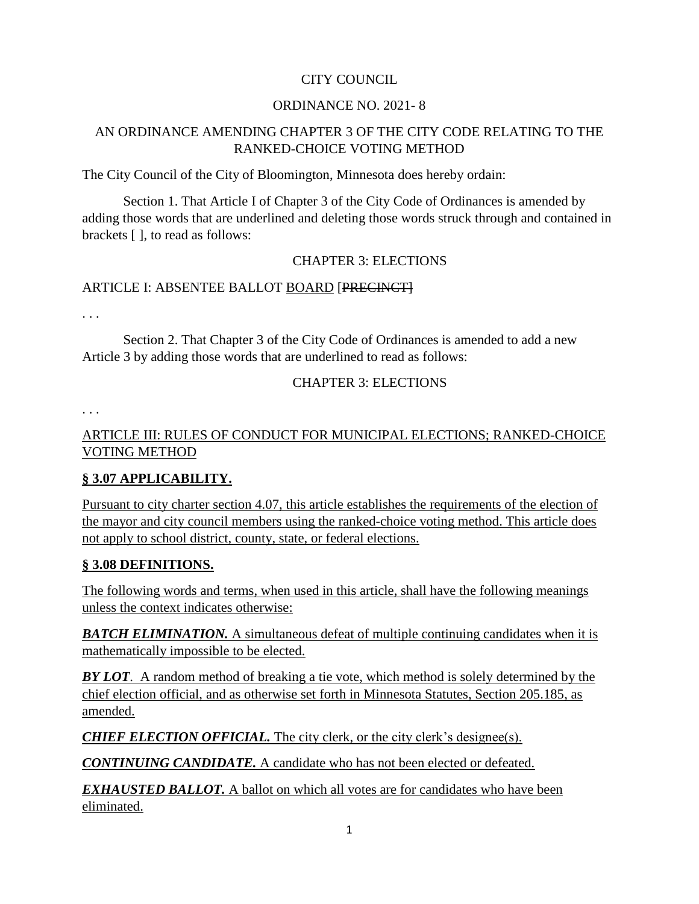### CITY COUNCIL

#### ORDINANCE NO. 2021- 8

### AN ORDINANCE AMENDING CHAPTER 3 OF THE CITY CODE RELATING TO THE RANKED-CHOICE VOTING METHOD

The City Council of the City of Bloomington, Minnesota does hereby ordain:

Section 1. That Article I of Chapter 3 of the City Code of Ordinances is amended by adding those words that are underlined and deleting those words struck through and contained in brackets [ ], to read as follows:

#### CHAPTER 3: ELECTIONS

#### ARTICLE I: ABSENTEE BALLOT BOARD [PRECINCT]

. . .

Section 2. That Chapter 3 of the City Code of Ordinances is amended to add a new Article 3 by adding those words that are underlined to read as follows:

#### CHAPTER 3: ELECTIONS

. . .

### ARTICLE III: RULES OF CONDUCT FOR MUNICIPAL ELECTIONS; RANKED-CHOICE VOTING METHOD

### **§ 3.07 APPLICABILITY.**

Pursuant to city charter section 4.07, this article establishes the requirements of the election of the mayor and city council members using the ranked-choice voting method. This article does not apply to school district, county, state, or federal elections.

#### **§ 3.08 DEFINITIONS.**

The following words and terms, when used in this article, shall have the following meanings unless the context indicates otherwise:

**BATCH ELIMINATION.** A simultaneous defeat of multiple continuing candidates when it is mathematically impossible to be elected.

*BY LOT*. A random method of breaking a tie vote, which method is solely determined by the chief election official, and as otherwise set forth in Minnesota Statutes, Section 205.185, as amended.

*CHIEF ELECTION OFFICIAL*. The city clerk, or the city clerk's designee(s).

*CONTINUING CANDIDATE.* A candidate who has not been elected or defeated.

*EXHAUSTED BALLOT.* A ballot on which all votes are for candidates who have been eliminated.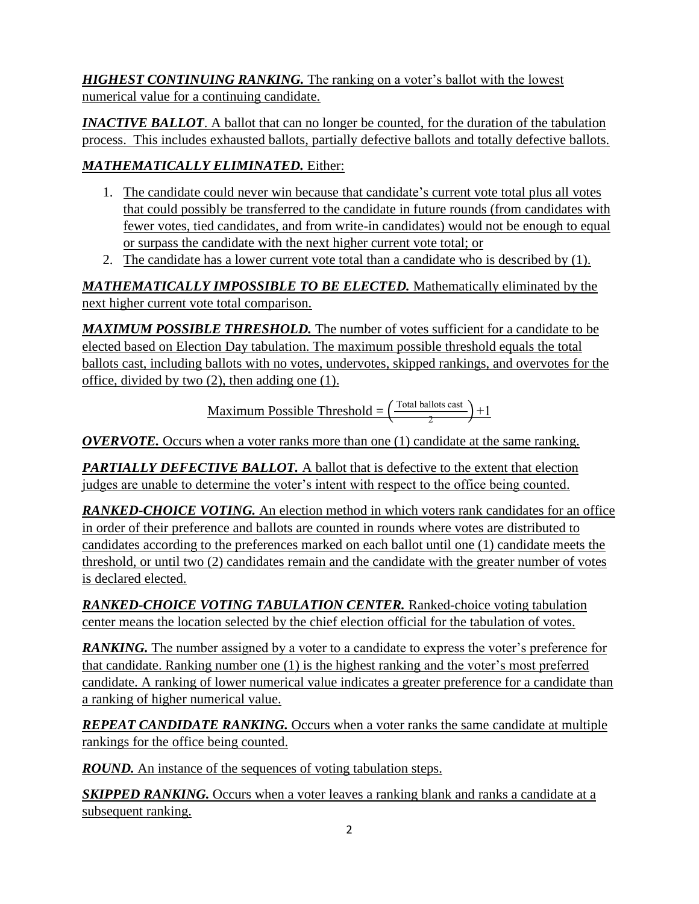*HIGHEST CONTINUING RANKING.* The ranking on a voter's ballot with the lowest numerical value for a continuing candidate.

*INACTIVE BALLOT.* A ballot that can no longer be counted, for the duration of the tabulation process. This includes exhausted ballots, partially defective ballots and totally defective ballots.

## *MATHEMATICALLY ELIMINATED.* Either:

- 1. The candidate could never win because that candidate's current vote total plus all votes that could possibly be transferred to the candidate in future rounds (from candidates with fewer votes, tied candidates, and from write-in candidates) would not be enough to equal or surpass the candidate with the next higher current vote total; or
- 2. The candidate has a lower current vote total than a candidate who is described by (1).

*MATHEMATICALLY IMPOSSIBLE TO BE ELECTED.* Mathematically eliminated by the next higher current vote total comparison.

MAXIMUM POSSIBLE THRESHOLD. The number of votes sufficient for a candidate to be elected based on Election Day tabulation. The maximum possible threshold equals the total ballots cast, including ballots with no votes, undervotes, skipped rankings, and overvotes for the office, divided by two (2), then adding one (1).

> <u>Maximum Possible Threshold</u> =  $\frac{\text{Total balls cost}}{2}$  $\frac{1}{2}$  +1

*OVERVOTE.* Occurs when a voter ranks more than one (1) candidate at the same ranking.

**PARTIALLY DEFECTIVE BALLOT.** A ballot that is defective to the extent that election judges are unable to determine the voter's intent with respect to the office being counted.

*RANKED-CHOICE VOTING.* An election method in which voters rank candidates for an office in order of their preference and ballots are counted in rounds where votes are distributed to candidates according to the preferences marked on each ballot until one (1) candidate meets the threshold, or until two (2) candidates remain and the candidate with the greater number of votes is declared elected.

*RANKED-CHOICE VOTING TABULATION CENTER.* Ranked-choice voting tabulation center means the location selected by the chief election official for the tabulation of votes.

**RANKING.** The number assigned by a voter to a candidate to express the voter's preference for that candidate. Ranking number one (1) is the highest ranking and the voter's most preferred candidate. A ranking of lower numerical value indicates a greater preference for a candidate than a ranking of higher numerical value.

*REPEAT CANDIDATE RANKING.* Occurs when a voter ranks the same candidate at multiple rankings for the office being counted.

*ROUND*. An instance of the sequences of voting tabulation steps.

**SKIPPED RANKING.** Occurs when a voter leaves a ranking blank and ranks a candidate at a subsequent ranking.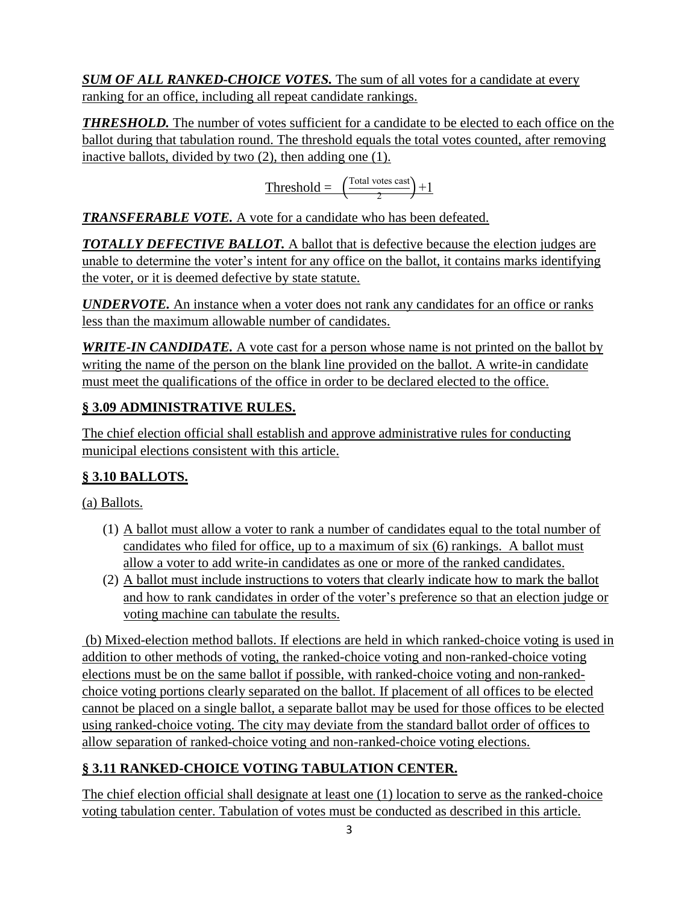*SUM OF ALL RANKED-CHOICE VOTES.* The sum of all votes for a candidate at every ranking for an office, including all repeat candidate rankings.

*THRESHOLD*. The number of votes sufficient for a candidate to be elected to each office on the ballot during that tabulation round. The threshold equals the total votes counted, after removing inactive ballots, divided by two (2), then adding one (1).

$$
Threshold = \left(\frac{\text{Total votes cast}}{2}\right) + 1
$$

*TRANSFERABLE VOTE.* A vote for a candidate who has been defeated.

**TOTALLY DEFECTIVE BALLOT.** A ballot that is defective because the election judges are unable to determine the voter's intent for any office on the ballot, it contains marks identifying the voter, or it is deemed defective by state statute.

*UNDERVOTE.* An instance when a voter does not rank any candidates for an office or ranks less than the maximum allowable number of candidates.

*WRITE-IN CANDIDATE*. A vote cast for a person whose name is not printed on the ballot by writing the name of the person on the blank line provided on the ballot. A write-in candidate must meet the qualifications of the office in order to be declared elected to the office.

# **§ 3.09 ADMINISTRATIVE RULES.**

The chief election official shall establish and approve administrative rules for conducting municipal elections consistent with this article.

# **§ 3.10 BALLOTS.**

(a) Ballots.

- (1) A ballot must allow a voter to rank a number of candidates equal to the total number of candidates who filed for office, up to a maximum of six (6) rankings. A ballot must allow a voter to add write-in candidates as one or more of the ranked candidates.
- (2) A ballot must include instructions to voters that clearly indicate how to mark the ballot and how to rank candidates in order of the voter's preference so that an election judge or voting machine can tabulate the results.

(b) Mixed-election method ballots. If elections are held in which ranked-choice voting is used in addition to other methods of voting, the ranked-choice voting and non-ranked-choice voting elections must be on the same ballot if possible, with ranked-choice voting and non-rankedchoice voting portions clearly separated on the ballot. If placement of all offices to be elected cannot be placed on a single ballot, a separate ballot may be used for those offices to be elected using ranked-choice voting. The city may deviate from the standard ballot order of offices to allow separation of ranked-choice voting and non-ranked-choice voting elections.

# **§ 3.11 RANKED-CHOICE VOTING TABULATION CENTER.**

The chief election official shall designate at least one (1) location to serve as the ranked-choice voting tabulation center. Tabulation of votes must be conducted as described in this article.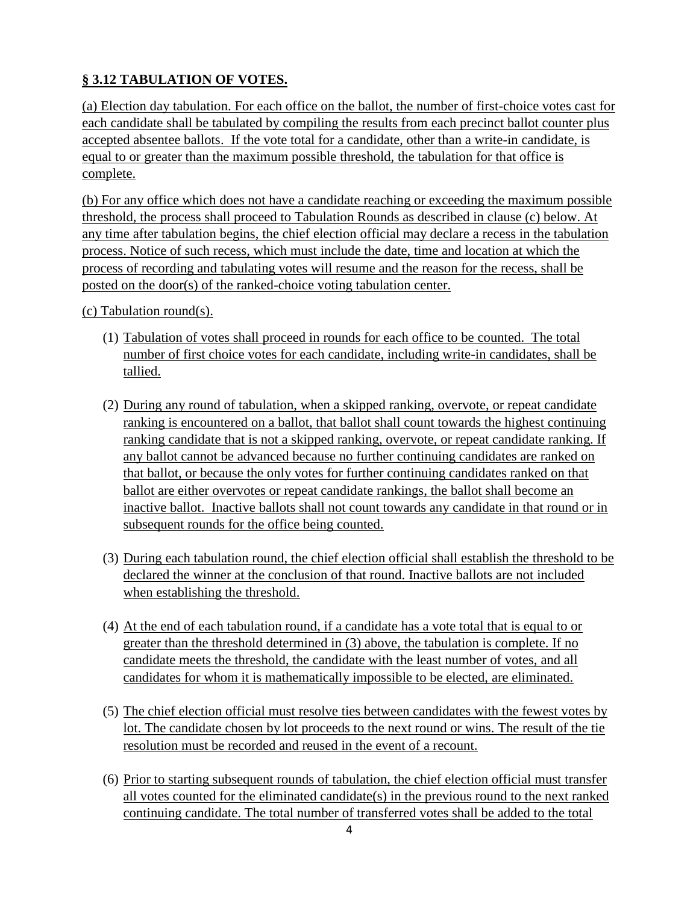# **§ 3.12 TABULATION OF VOTES.**

(a) Election day tabulation. For each office on the ballot, the number of first-choice votes cast for each candidate shall be tabulated by compiling the results from each precinct ballot counter plus accepted absentee ballots. If the vote total for a candidate, other than a write-in candidate, is equal to or greater than the maximum possible threshold, the tabulation for that office is complete.

(b) For any office which does not have a candidate reaching or exceeding the maximum possible threshold, the process shall proceed to Tabulation Rounds as described in clause (c) below. At any time after tabulation begins, the chief election official may declare a recess in the tabulation process. Notice of such recess, which must include the date, time and location at which the process of recording and tabulating votes will resume and the reason for the recess, shall be posted on the door(s) of the ranked-choice voting tabulation center.

(c) Tabulation round(s).

- (1) Tabulation of votes shall proceed in rounds for each office to be counted. The total number of first choice votes for each candidate, including write-in candidates, shall be tallied.
- (2) During any round of tabulation, when a skipped ranking, overvote, or repeat candidate ranking is encountered on a ballot, that ballot shall count towards the highest continuing ranking candidate that is not a skipped ranking, overvote, or repeat candidate ranking. If any ballot cannot be advanced because no further continuing candidates are ranked on that ballot, or because the only votes for further continuing candidates ranked on that ballot are either overvotes or repeat candidate rankings, the ballot shall become an inactive ballot. Inactive ballots shall not count towards any candidate in that round or in subsequent rounds for the office being counted.
- (3) During each tabulation round, the chief election official shall establish the threshold to be declared the winner at the conclusion of that round. Inactive ballots are not included when establishing the threshold.
- (4) At the end of each tabulation round, if a candidate has a vote total that is equal to or greater than the threshold determined in (3) above, the tabulation is complete. If no candidate meets the threshold, the candidate with the least number of votes, and all candidates for whom it is mathematically impossible to be elected, are eliminated.
- (5) The chief election official must resolve ties between candidates with the fewest votes by lot. The candidate chosen by lot proceeds to the next round or wins. The result of the tie resolution must be recorded and reused in the event of a recount.
- (6) Prior to starting subsequent rounds of tabulation, the chief election official must transfer all votes counted for the eliminated candidate(s) in the previous round to the next ranked continuing candidate. The total number of transferred votes shall be added to the total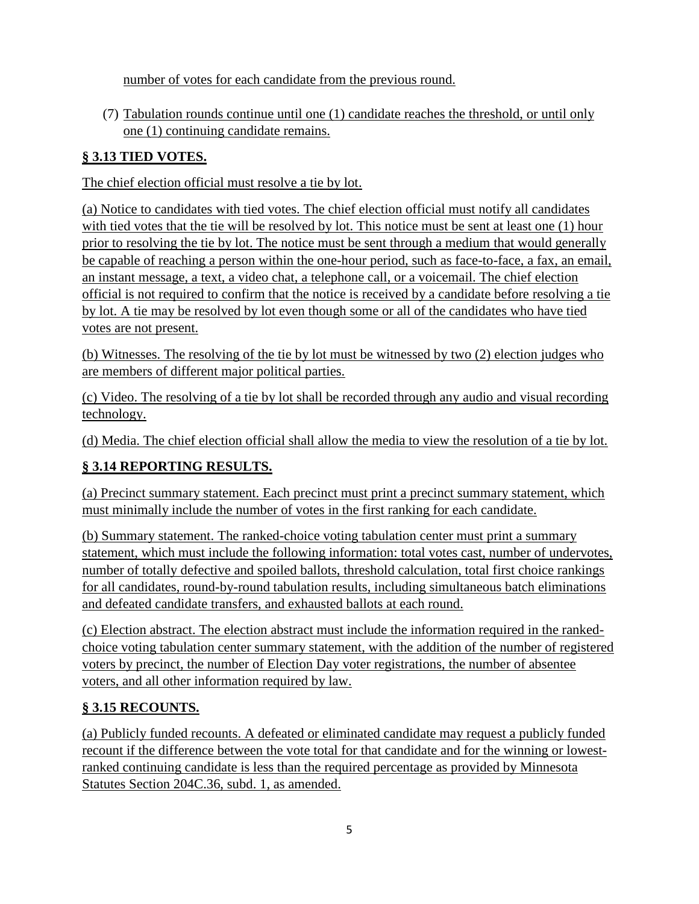number of votes for each candidate from the previous round.

(7) Tabulation rounds continue until one (1) candidate reaches the threshold, or until only one (1) continuing candidate remains.

### **§ 3.13 TIED VOTES.**

The chief election official must resolve a tie by lot.

(a) Notice to candidates with tied votes. The chief election official must notify all candidates with tied votes that the tie will be resolved by lot. This notice must be sent at least one (1) hour prior to resolving the tie by lot. The notice must be sent through a medium that would generally be capable of reaching a person within the one-hour period, such as face-to-face, a fax, an email, an instant message, a text, a video chat, a telephone call, or a voicemail. The chief election official is not required to confirm that the notice is received by a candidate before resolving a tie by lot. A tie may be resolved by lot even though some or all of the candidates who have tied votes are not present.

(b) Witnesses. The resolving of the tie by lot must be witnessed by two (2) election judges who are members of different major political parties.

(c) Video. The resolving of a tie by lot shall be recorded through any audio and visual recording technology.

(d) Media. The chief election official shall allow the media to view the resolution of a tie by lot.

## **§ 3.14 REPORTING RESULTS.**

(a) Precinct summary statement. Each precinct must print a precinct summary statement, which must minimally include the number of votes in the first ranking for each candidate.

(b) Summary statement. The ranked-choice voting tabulation center must print a summary statement, which must include the following information: total votes cast, number of undervotes, number of totally defective and spoiled ballots, threshold calculation, total first choice rankings for all candidates, round-by-round tabulation results, including simultaneous batch eliminations and defeated candidate transfers, and exhausted ballots at each round.

(c) Election abstract. The election abstract must include the information required in the rankedchoice voting tabulation center summary statement, with the addition of the number of registered voters by precinct, the number of Election Day voter registrations, the number of absentee voters, and all other information required by law.

## **§ 3.15 RECOUNTS.**

(a) Publicly funded recounts. A defeated or eliminated candidate may request a publicly funded recount if the difference between the vote total for that candidate and for the winning or lowestranked continuing candidate is less than the required percentage as provided by Minnesota Statutes Section 204C.36, subd. 1, as amended.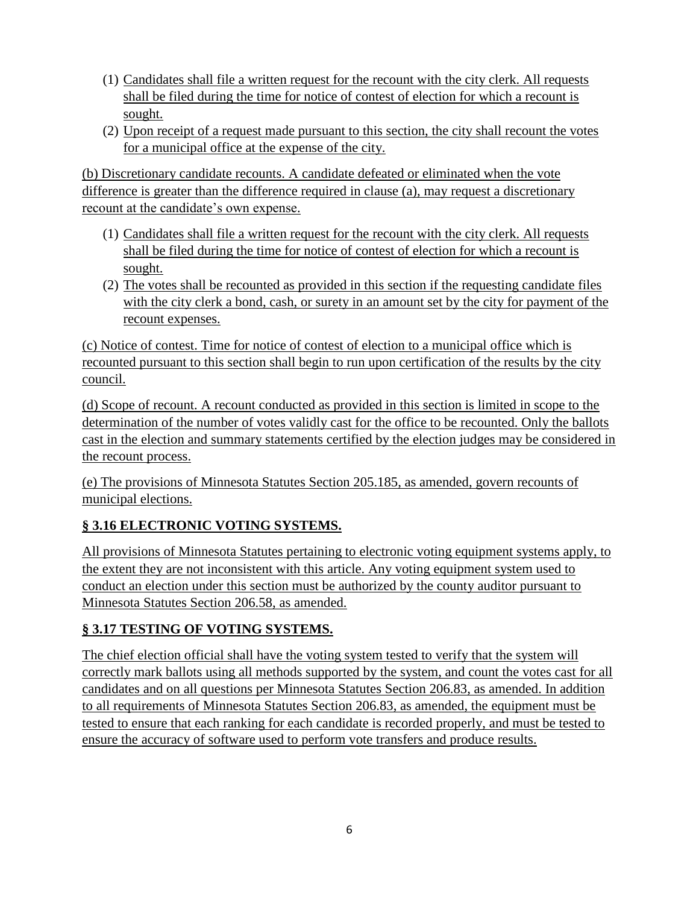- (1) Candidates shall file a written request for the recount with the city clerk. All requests shall be filed during the time for notice of contest of election for which a recount is sought.
- (2) Upon receipt of a request made pursuant to this section, the city shall recount the votes for a municipal office at the expense of the city.

(b) Discretionary candidate recounts. A candidate defeated or eliminated when the vote difference is greater than the difference required in clause (a), may request a discretionary recount at the candidate's own expense.

- (1) Candidates shall file a written request for the recount with the city clerk. All requests shall be filed during the time for notice of contest of election for which a recount is sought.
- (2) The votes shall be recounted as provided in this section if the requesting candidate files with the city clerk a bond, cash, or surety in an amount set by the city for payment of the recount expenses.

(c) Notice of contest. Time for notice of contest of election to a municipal office which is recounted pursuant to this section shall begin to run upon certification of the results by the city council.

(d) Scope of recount. A recount conducted as provided in this section is limited in scope to the determination of the number of votes validly cast for the office to be recounted. Only the ballots cast in the election and summary statements certified by the election judges may be considered in the recount process.

(e) The provisions of Minnesota Statutes Section 205.185, as amended, govern recounts of municipal elections.

# **§ 3.16 ELECTRONIC VOTING SYSTEMS.**

All provisions of Minnesota Statutes pertaining to electronic voting equipment systems apply, to the extent they are not inconsistent with this article. Any voting equipment system used to conduct an election under this section must be authorized by the county auditor pursuant to Minnesota Statutes Section 206.58, as amended.

## **§ 3.17 TESTING OF VOTING SYSTEMS.**

The chief election official shall have the voting system tested to verify that the system will correctly mark ballots using all methods supported by the system, and count the votes cast for all candidates and on all questions per Minnesota Statutes Section 206.83, as amended. In addition to all requirements of Minnesota Statutes Section 206.83, as amended, the equipment must be tested to ensure that each ranking for each candidate is recorded properly, and must be tested to ensure the accuracy of software used to perform vote transfers and produce results.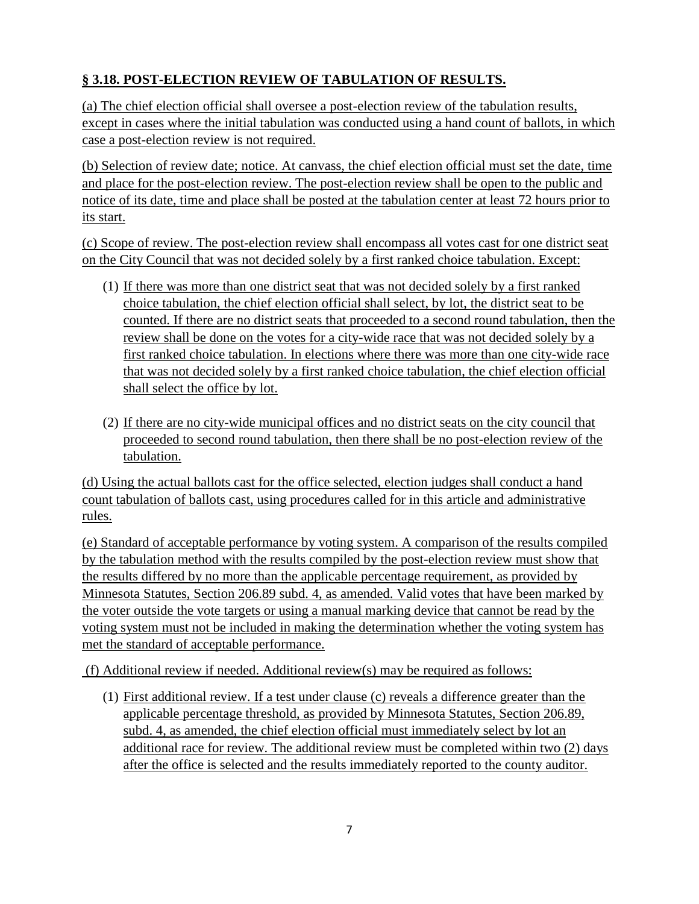## **§ 3.18. POST-ELECTION REVIEW OF TABULATION OF RESULTS.**

(a) The chief election official shall oversee a post-election review of the tabulation results, except in cases where the initial tabulation was conducted using a hand count of ballots, in which case a post-election review is not required.

(b) Selection of review date; notice. At canvass, the chief election official must set the date, time and place for the post-election review. The post-election review shall be open to the public and notice of its date, time and place shall be posted at the tabulation center at least 72 hours prior to its start.

(c) Scope of review. The post-election review shall encompass all votes cast for one district seat on the City Council that was not decided solely by a first ranked choice tabulation. Except:

- (1) If there was more than one district seat that was not decided solely by a first ranked choice tabulation, the chief election official shall select, by lot, the district seat to be counted. If there are no district seats that proceeded to a second round tabulation, then the review shall be done on the votes for a city-wide race that was not decided solely by a first ranked choice tabulation. In elections where there was more than one city-wide race that was not decided solely by a first ranked choice tabulation, the chief election official shall select the office by lot.
- (2) If there are no city-wide municipal offices and no district seats on the city council that proceeded to second round tabulation, then there shall be no post-election review of the tabulation.

(d) Using the actual ballots cast for the office selected, election judges shall conduct a hand count tabulation of ballots cast, using procedures called for in this article and administrative rules.

(e) Standard of acceptable performance by voting system. A comparison of the results compiled by the tabulation method with the results compiled by the post-election review must show that the results differed by no more than the applicable percentage requirement, as provided by Minnesota Statutes, Section 206.89 subd. 4, as amended. Valid votes that have been marked by the voter outside the vote targets or using a manual marking device that cannot be read by the voting system must not be included in making the determination whether the voting system has met the standard of acceptable performance.

(f) Additional review if needed. Additional review(s) may be required as follows:

(1) First additional review. If a test under clause (c) reveals a difference greater than the applicable percentage threshold, as provided by Minnesota Statutes, Section 206.89, subd. 4, as amended, the chief election official must immediately select by lot an additional race for review. The additional review must be completed within two (2) days after the office is selected and the results immediately reported to the county auditor.